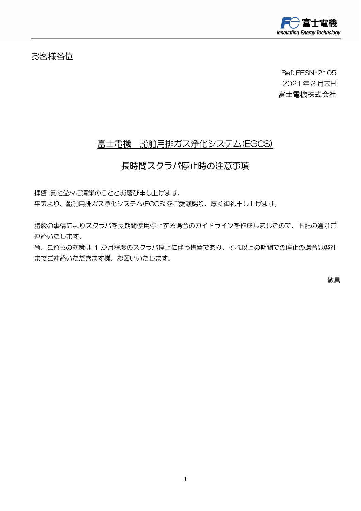

### お客様各位

Ref: FESN-2105 2021 年 3 月末日 富士電機株式会社

### 富士電機 船舶用排ガス浄化システム(EGCS)

### 長時間スクラバ停止時の注意事項

拝啓 貴社益々ご清栄のこととお慶び申し上げます。

平素より、船舶用排ガス浄化システム(EGCS)をご愛顧賜り、厚く御礼申し上げます。

諸般の事情によりスクラバを長期間使用停止する場合のガイドラインを作成しましたので、下記の通りご 連絡いたします。

尚、これらの対策は 1 か月程度のスクラバ停止に伴う措置であり、それ以上の期間での停止の場合は弊社 までご連絡いただきます様、お願いいたします。

敬具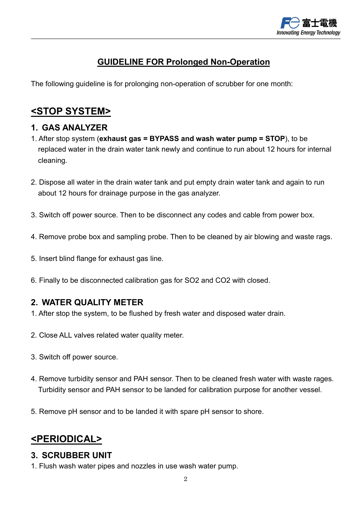

## GUIDELINE FOR Prolonged Non-Operation

The following guideline is for prolonging non-operation of scrubber for one month:

# <STOP SYSTEM>

### 1. GAS ANALYZER

- 1. After stop system (exhaust gas = BYPASS and wash water pump = STOP), to be replaced water in the drain water tank newly and continue to run about 12 hours for internal cleaning.
- 2. Dispose all water in the drain water tank and put empty drain water tank and again to run about 12 hours for drainage purpose in the gas analyzer.
- 3. Switch off power source. Then to be disconnect any codes and cable from power box.
- 4. Remove probe box and sampling probe. Then to be cleaned by air blowing and waste rags.
- 5. Insert blind flange for exhaust gas line.
- 6. Finally to be disconnected calibration gas for SO2 and CO2 with closed.

### 2. WATER QUALITY METER

- 1. After stop the system, to be flushed by fresh water and disposed water drain.
- 2. Close ALL valves related water quality meter.
- 3. Switch off power source.
- 4. Remove turbidity sensor and PAH sensor. Then to be cleaned fresh water with waste rages. Turbidity sensor and PAH sensor to be landed for calibration purpose for another vessel.
- 5. Remove pH sensor and to be landed it with spare pH sensor to shore.

# <PERIODICAL>

#### 3. SCRUBBER UNIT

1. Flush wash water pipes and nozzles in use wash water pump.